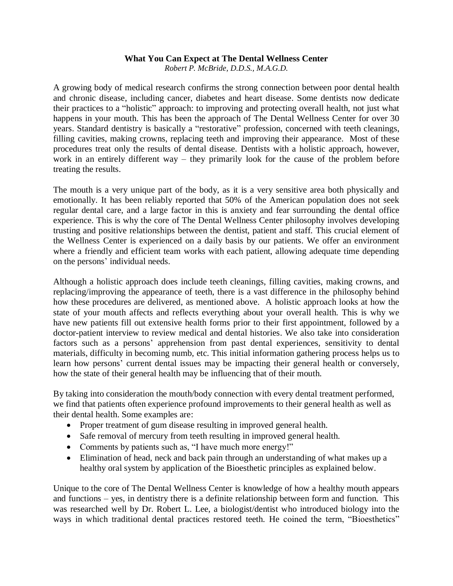## **What You Can Expect at The Dental Wellness Center**

*Robert P. McBride, D.D.S., M.A.G.D.*

A growing body of medical research confirms the strong connection between poor dental health and chronic disease, including cancer, diabetes and heart disease. Some dentists now dedicate their practices to a "holistic" approach: to improving and protecting overall health, not just what happens in your mouth. This has been the approach of The Dental Wellness Center for over 30 years. Standard dentistry is basically a "restorative" profession, concerned with teeth cleanings, filling cavities, making crowns, replacing teeth and improving their appearance. Most of these procedures treat only the results of dental disease. Dentists with a holistic approach, however, work in an entirely different way – they primarily look for the cause of the problem before treating the results.

The mouth is a very unique part of the body, as it is a very sensitive area both physically and emotionally. It has been reliably reported that 50% of the American population does not seek regular dental care, and a large factor in this is anxiety and fear surrounding the dental office experience. This is why the core of The Dental Wellness Center philosophy involves developing trusting and positive relationships between the dentist, patient and staff. This crucial element of the Wellness Center is experienced on a daily basis by our patients. We offer an environment where a friendly and efficient team works with each patient, allowing adequate time depending on the persons' individual needs.

Although a holistic approach does include teeth cleanings, filling cavities, making crowns, and replacing/improving the appearance of teeth, there is a vast difference in the philosophy behind how these procedures are delivered, as mentioned above. A holistic approach looks at how the state of your mouth affects and reflects everything about your overall health. This is why we have new patients fill out extensive health forms prior to their first appointment, followed by a doctor-patient interview to review medical and dental histories. We also take into consideration factors such as a persons' apprehension from past dental experiences, sensitivity to dental materials, difficulty in becoming numb, etc. This initial information gathering process helps us to learn how persons' current dental issues may be impacting their general health or conversely, how the state of their general health may be influencing that of their mouth.

By taking into consideration the mouth/body connection with every dental treatment performed, we find that patients often experience profound improvements to their general health as well as their dental health. Some examples are:

- Proper treatment of gum disease resulting in improved general health.
- Safe removal of mercury from teeth resulting in improved general health.
- Comments by patients such as, "I have much more energy!"
- Elimination of head, neck and back pain through an understanding of what makes up a healthy oral system by application of the Bioesthetic principles as explained below.

Unique to the core of The Dental Wellness Center is knowledge of how a healthy mouth appears and functions – yes, in dentistry there is a definite relationship between form and function. This was researched well by Dr. Robert L. Lee, a biologist/dentist who introduced biology into the ways in which traditional dental practices restored teeth. He coined the term, "Bioesthetics"